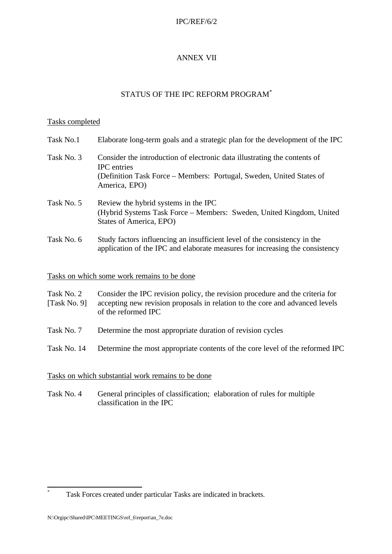### IPC/REF/6/2

## ANNEX VII

# STATUS OF THE IPC REFORM PROGRAM\*

#### Tasks completed

| Task No.1  | Elaborate long-term goals and a strategic plan for the development of the IPC                                                                                                            |
|------------|------------------------------------------------------------------------------------------------------------------------------------------------------------------------------------------|
| Task No. 3 | Consider the introduction of electronic data illustrating the contents of<br><b>IPC</b> entries<br>(Definition Task Force – Members: Portugal, Sweden, United States of<br>America, EPO) |
| Task No. 5 | Review the hybrid systems in the IPC<br>(Hybrid Systems Task Force – Members: Sweden, United Kingdom, United<br>States of America, EPO)                                                  |
| Task No. 6 | Study factors influencing an insufficient level of the consistency in the<br>application of the IPC and elaborate measures for increasing the consistency                                |

## Tasks on which some work remains to be done

| Task No. 2 | Consider the IPC revision policy, the revision procedure and the criteria for             |
|------------|-------------------------------------------------------------------------------------------|
|            | [Task No. 9] accepting new revision proposals in relation to the core and advanced levels |
|            | of the reformed IPC                                                                       |

- Task No. 7 Determine the most appropriate duration of revision cycles
- Task No. 14 Determine the most appropriate contents of the core level of the reformed IPC

#### Tasks on which substantial work remains to be done

Task No. 4 General principles of classification; elaboration of rules for multiple classification in the IPC

j \* Task Forces created under particular Tasks are indicated in brackets.